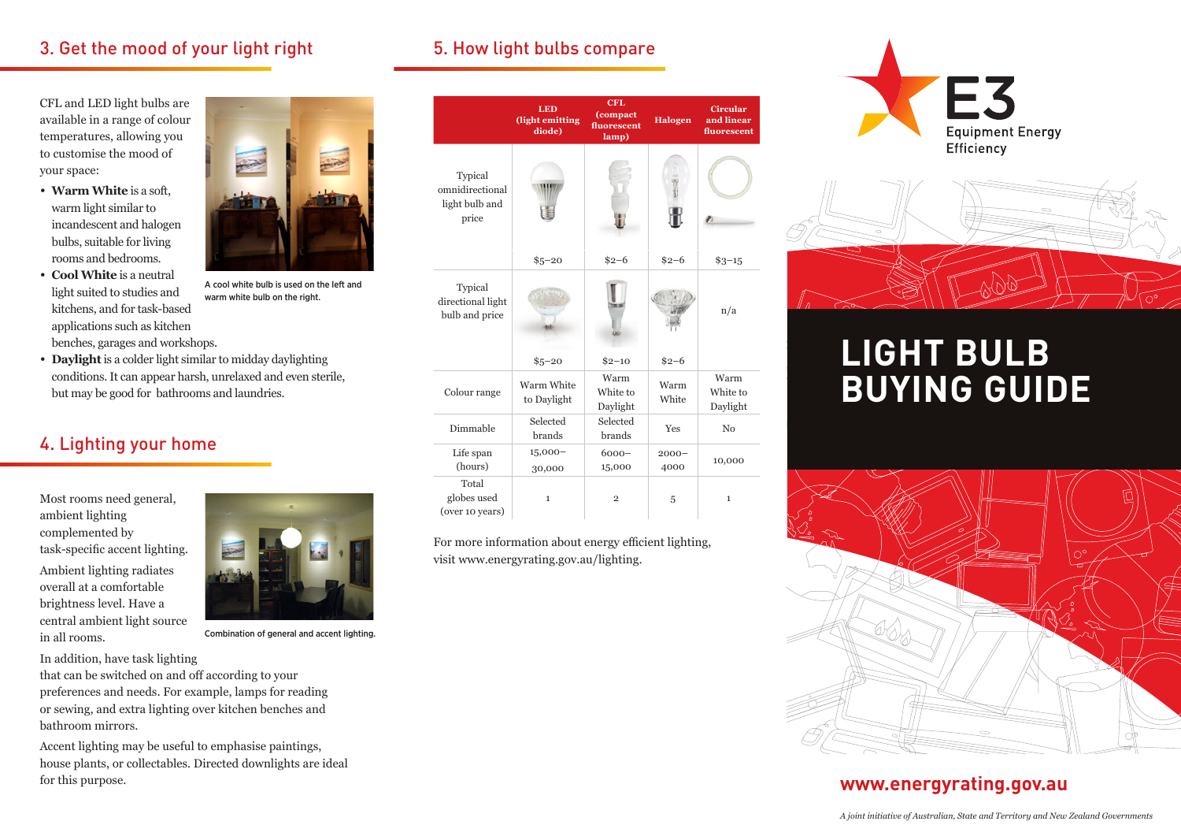## 3. Get the mood of your light right

CFL and LED light bulbs are available in a range of colour temperatures, allowing you to customise the mood of your space:

- **• Warm White** is a soft, warm light similar to incandescent and halogen bulbs, suitable for living rooms and bedrooms.
- **• Cool White** is a neutral light suited to studies and kitchens, and for task-based applications such as kitchen benches, garages and workshops.



## 4. Lighting your home

Most rooms need general, ambient lighting complemented by task-specific accent lighting. Ambient lighting radiates overall at a comfortable brightness level. Have a central ambient light source in all rooms.

A cool white bulb is used on the left and warm white bulb on the right.

Combination of general and accent lighting.

In addition, have task lighting

that can be switched on and off according to your preferences and needs. For example, lamps for reading or sewing, and extra lighting over kitchen benches and bathroom mirrors.

Accent lighting may be useful to emphasise paintings, house plants, or collectables. Directed downlights are ideal for this purpose.

## 5. How light bulbs compare

|                                                       | <b>LED</b><br>(light emitting<br>diode) | <b>CFL</b><br>(compact<br>fluorescent<br>lamp) | Halogen          | <b>Circular</b><br>and linear<br>fluorescent |
|-------------------------------------------------------|-----------------------------------------|------------------------------------------------|------------------|----------------------------------------------|
| Typical<br>omnidirectional<br>light bulb and<br>price |                                         |                                                |                  |                                              |
|                                                       | $$5 - 20$                               | $$2 - 6$                                       | $$2-6$           | $$3 - 15$                                    |
| Typical<br>directional light<br>bulb and price        |                                         | Бb                                             |                  | n/a                                          |
|                                                       | $$5 - 20$                               | $$2 - 10$                                      | $$2 - 6$         |                                              |
| Colour range                                          | Warm White<br>to Daylight               | Warm<br>White to<br>Daylight                   | Warm<br>White    | Warm<br>White to<br>Daylight                 |
| Dimmable                                              | Selected<br>brands                      | Selected<br>brands                             | <b>Yes</b>       | No                                           |
| Life span<br>(hours)                                  | $15,000-$<br>30,000                     | $6000 -$<br>15,000                             | $2000 -$<br>4000 | 10,000                                       |
| Total<br>globes used<br>(over 10 years)               | $\mathbf{1}$                            | $\overline{2}$                                 | 5                | $\mathbf 1$                                  |

For more information about energy efficient lighting, visit www.energyrating.gov.au/lighting.





# **LIGHT BULB BUYING GUIDE**



## **www.energyrating.gov.au**